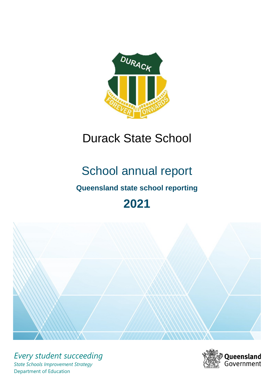

# Durack State School

# School annual report

# **Queensland state school reporting**

# **2021**



*Every student succeeding State Schools Improvement Strategy* Department of Education

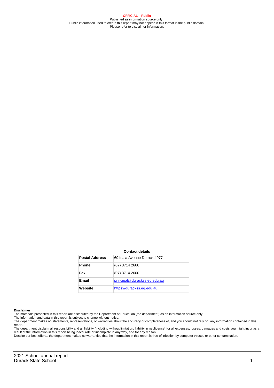**OFFICIAL – Public** Published as information source only. Public information used to create this report may not appear in this format in the public domain Please refer to disclaimer information.

#### **Contact details**

| <b>Postal Address</b> | 69 Inala Avenue Durack 4077  |
|-----------------------|------------------------------|
| <b>Phone</b>          | (07) 3714 2666               |
| Fax                   | $(07)$ 3714 2600             |
| Email                 | principal@durackss.eq.edu.au |
| Website               | https://durackss.eq.edu.au   |

#### **Disclaimer**

The materials presented in this report are distributed by the Department of Education (the department) as an information source only.

The information and data in this report is subject to change without notice.<br>The department makes no statements, representations, or warranties about the accuracy or completeness of, and you should not rely on, any informa report.

The department disclaim all responsibility and all liability (including without limitation, liability in negligence) for all expenses, losses, damages and costs you might incur as a result of the information in this report being inaccurate or incomplete in any way, and for any reason. Despite our best efforts, the department makes no warranties that the information in this report is free of infection by computer viruses or other contamination.

2021 School annual report **Durack State School** 1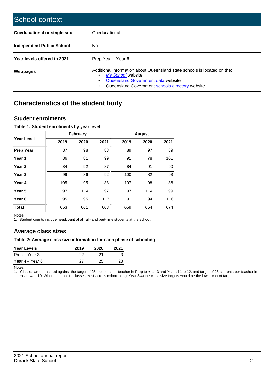| School context                   |                                                                                                                                                                                              |
|----------------------------------|----------------------------------------------------------------------------------------------------------------------------------------------------------------------------------------------|
| Coeducational or single sex      | Coeducational                                                                                                                                                                                |
| <b>Independent Public School</b> | No.                                                                                                                                                                                          |
| Year levels offered in 2021      | Prep Year - Year 6                                                                                                                                                                           |
| Webpages                         | Additional information about Queensland state schools is located on the:<br>My School website<br>Queensland Government data website<br>Queensland Government schools directory website.<br>٠ |

# **Characteristics of the student body**

### **Student enrolments**

#### **Table 1: Student enrolments by year level**

|                   |      | <b>February</b> |      |      | <b>August</b> |      |
|-------------------|------|-----------------|------|------|---------------|------|
| <b>Year Level</b> | 2019 | 2020            | 2021 | 2019 | 2020          | 2021 |
| <b>Prep Year</b>  | 87   | 98              | 83   | 89   | 97            | 89   |
| Year 1            | 86   | 81              | 99   | 91   | 78            | 101  |
| Year 2            | 84   | 92              | 87   | 84   | 91            | 90   |
| Year <sub>3</sub> | 99   | 86              | 92   | 100  | 82            | 93   |
| Year 4            | 105  | 95              | 88   | 107  | 98            | 86   |
| Year <sub>5</sub> | 97   | 114             | 97   | 97   | 114           | 99   |
| Year <sub>6</sub> | 95   | 95              | 117  | 91   | 94            | 116  |
| <b>Total</b>      | 653  | 661             | 663  | 659  | 654           | 674  |

Notes

1. Student counts include headcount of all full- and part-time students at the school.

## **Average class sizes**

#### **Table 2: Average class size information for each phase of schooling**

| <b>Year Levels</b> | 2019 | 2020 | 2021 |
|--------------------|------|------|------|
| Prep – Year 3      | 22   | 21   | 23   |
| Year 4 – Year 6    | 27   | 25.  | 23   |

Notes

1. Classes are measured against the target of 25 students per teacher in Prep to Year 3 and Years 11 to 12, and target of 28 students per teacher in Years 4 to 10. Where composite classes exist across cohorts (e.g. Year 3/4) the class size targets would be the lower cohort target.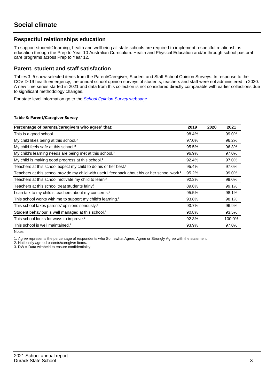## **Respectful relationships education**

To support students' learning, health and wellbeing all state schools are required to implement respectful relationships education through the Prep to Year 10 Australian Curriculum: Health and Physical Education and/or through school pastoral care programs across Prep to Year 12.

### **Parent, student and staff satisfaction**

Tables 3–5 show selected items from the Parent/Caregiver, Student and Staff School Opinion Surveys. In response to the COVID-19 health emergency, the annual school opinion surveys of students, teachers and staff were not administered in 2020. A new time series started in 2021 and data from this collection is not considered directly comparable with earlier collections due to significant methodology changes.

For state level information go to the **[School Opinion Survey](https://qed.qld.gov.au/publications/reports/statistics/schooling/schools/schoolopinionsurvey) webpage**.

#### **Table 3: Parent/Caregiver Survey**

| Percentage of parents/caregivers who agree <sup>1</sup> that:                                            | 2019  | 2020 | 2021   |
|----------------------------------------------------------------------------------------------------------|-------|------|--------|
| This is a good school.                                                                                   | 98.4% |      | 99.0%  |
| My child likes being at this school. <sup>2</sup>                                                        | 97.0% |      | 96.2%  |
| My child feels safe at this school. <sup>2</sup>                                                         | 95.5% |      | 96.3%  |
| My child's learning needs are being met at this school. <sup>2</sup>                                     | 96.9% |      | 97.0%  |
| My child is making good progress at this school. <sup>2</sup>                                            | 92.4% |      | 97.0%  |
| Teachers at this school expect my child to do his or her best. <sup>2</sup>                              | 95.4% |      | 97.0%  |
| Teachers at this school provide my child with useful feedback about his or her school work. <sup>2</sup> | 95.2% |      | 99.0%  |
| Teachers at this school motivate my child to learn. <sup>2</sup>                                         | 92.3% |      | 99.0%  |
| Teachers at this school treat students fairly. <sup>2</sup>                                              | 89.6% |      | 99.1%  |
| I can talk to my child's teachers about my concerns. <sup>2</sup>                                        | 95.5% |      | 98.1%  |
| This school works with me to support my child's learning. <sup>2</sup>                                   | 93.8% |      | 98.1%  |
| This school takes parents' opinions seriously. <sup>2</sup>                                              | 93.7% |      | 96.9%  |
| Student behaviour is well managed at this school. <sup>2</sup>                                           | 90.8% |      | 93.5%  |
| This school looks for ways to improve. <sup>2</sup>                                                      | 92.3% |      | 100.0% |
| This school is well maintained. <sup>2</sup>                                                             | 93.9% |      | 97.0%  |

Notes

1. Agree represents the percentage of respondents who Somewhat Agree, Agree or Strongly Agree with the statement.

2. Nationally agreed parents/caregiver items.

3. DW = Data withheld to ensure confidentiality.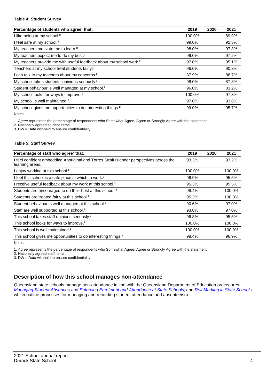#### **Table 4: Student Survey**

| Percentage of students who agree <sup>1</sup> that:                            | 2019   | 2020 | 2021  |
|--------------------------------------------------------------------------------|--------|------|-------|
| I like being at my school. <sup>2</sup>                                        | 100.0% |      | 89.9% |
| I feel safe at my school. <sup>2</sup>                                         | 99.0%  |      | 92.3% |
| My teachers motivate me to learn. <sup>2</sup>                                 | 98.0%  |      | 97.3% |
| My teachers expect me to do my best. <sup>2</sup>                              | 99.0%  |      | 97.2% |
| My teachers provide me with useful feedback about my school work. <sup>2</sup> | 97.0%  |      | 95.1% |
| Teachers at my school treat students fairly?                                   | 96.0%  |      | 90.3% |
| I can talk to my teachers about my concerns. <sup>2</sup>                      | 87.9%  |      | 88.7% |
| My school takes students' opinions seriously. <sup>2</sup>                     | 98.0%  |      | 87.8% |
| Student behaviour is well managed at my school. <sup>2</sup>                   | 96.0%  |      | 83.2% |
| My school looks for ways to improve. <sup>2</sup>                              | 100.0% |      | 97.3% |
| My school is well maintained. <sup>2</sup>                                     | 97.0%  |      | 93.8% |
| My school gives me opportunities to do interesting things. <sup>2</sup>        | 99.0%  |      | 95.7% |

Notes

1. Agree represents the percentage of respondents who Somewhat Agree, Agree or Strongly Agree with the statement.

2. Nationally agreed student items.

3. DW = Data withheld to ensure confidentiality.

#### **Table 5: Staff Survey**

| Percentage of staff who agree <sup>1</sup> that:                                                            | 2019   | 2020 | 2021   |
|-------------------------------------------------------------------------------------------------------------|--------|------|--------|
| I feel confident embedding Aboriginal and Torres Strait Islander perspectives across the<br>learning areas. | 93.3%  |      | 93.2%  |
| I enjoy working at this school. <sup>2</sup>                                                                | 100.0% |      | 100.0% |
| I feel this school is a safe place in which to work. <sup>2</sup>                                           | 96.9%  |      | 95.5%  |
| I receive useful feedback about my work at this school. <sup>2</sup>                                        | 95.3%  |      | 95.5%  |
| Students are encouraged to do their best at this school. <sup>2</sup>                                       | 98.4%  |      | 100.0% |
| Students are treated fairly at this school. <sup>2</sup>                                                    | 95.3%  |      | 100.0% |
| Student behaviour is well managed at this school. <sup>2</sup>                                              | 90.6%  |      | 97.0%  |
| Staff are well supported at this school. <sup>2</sup>                                                       | 93.8%  |      | 97.0%  |
| This school takes staff opinions seriously. <sup>2</sup>                                                    | 96.8%  |      | 95.5%  |
| This school looks for ways to improve. <sup>2</sup>                                                         | 100.0% |      | 100.0% |
| This school is well maintained. <sup>2</sup>                                                                | 100.0% |      | 100.0% |
| This school gives me opportunities to do interesting things. <sup>2</sup>                                   | 98.4%  |      | 96.9%  |

Notes

1. Agree represents the percentage of respondents who Somewhat Agree, Agree or Strongly Agree with the statement.

2. Nationally agreed staff items.

3. DW = Data withheld to ensure confidentiality.

## **Description of how this school manages non-attendance**

Queensland state schools manage non-attendance in line with the Queensland Department of Education procedures: [Managing Student Absences and Enforcing Enrolment and Attendance at State Schools](https://ppr.qed.qld.gov.au/pp/managing-student-absences-and-enforcing-enrolment-and-attendance-at-state-schools-procedure); and [Roll Marking in State Schools](https://ppr.qed.qld.gov.au/pp/roll-marking-in-state-schools-procedure), which outline processes for managing and recording student attendance and absenteeism.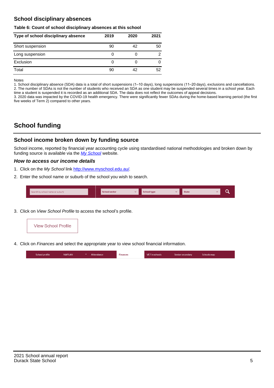## **School disciplinary absences**

#### **Table 6: Count of school disciplinary absences at this school**

| Type of school disciplinary absence | 2019 | 2020 | 2021           |
|-------------------------------------|------|------|----------------|
| Short suspension                    | 90   | 42   | 50             |
| Long suspension                     | 0    |      | $\mathfrak{p}$ |
| Exclusion                           | 0    |      | 0              |
| Total                               | 90   | 42   | 52             |

Notes

1. School disciplinary absence (SDA) data is a total of short suspensions (1–10 days), long suspensions (11–20 days), exclusions and cancellations. 2. The number of SDAs is not the number of students who received an SDA as one student may be suspended several times in a school year. Each time a student is suspended it is recorded as an additional SDA. The data does not reflect the outcomes of appeal decisions.

3. 2020 data was impacted by the COVID-19 health emergency. There were significantly fewer SDAs during the home-based learning period (the first five weeks of Term 2) compared to other years.

# **School funding**

## **School income broken down by funding source**

School income, reported by financial year accounting cycle using standardised national methodologies and broken down by funding source is available via the  $My$  School website.

#### **How to access our income details**

- 1. Click on the My School link [http://www.myschool.edu.au/.](http://www.myschool.edu.au/)
- 2. Enter the school name or suburb of the school you wish to search.

| Search by school name or suburb | <b>School sector</b> | <b>Concool type</b> | <b>State</b> |  |
|---------------------------------|----------------------|---------------------|--------------|--|
|                                 |                      |                     |              |  |

3. Click on View School Profile to access the school's profile.



4. Click on Finances and select the appropriate year to view school financial information.

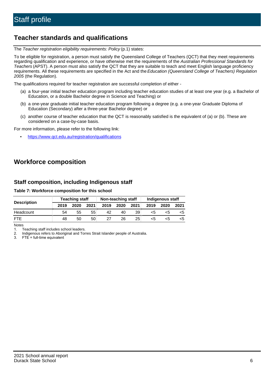# **Teacher standards and qualifications**

The Teacher registration eligibility requirements: Policy (p.1) states:

To be eligible for registration, a person must satisfy the Queensland College of Teachers (QCT) that they meet requirements regarding qualification and experience, or have otherwise met the requirements of the Australian Professional Standards for Teachers (APST). A person must also satisfy the QCT that they are suitable to teach and meet English language proficiency requirements. All these requirements are specified in the Act and the Education (Queensland College of Teachers) Regulation 2005 (the Regulation).

The qualifications required for teacher registration are successful completion of either -

- (a) a four-year initial teacher education program including teacher education studies of at least one year (e.g. a Bachelor of Education, or a double Bachelor degree in Science and Teaching) or
- (b) a one-year graduate initial teacher education program following a degree (e.g. a one-year Graduate Diploma of Education (Secondary) after a three-year Bachelor degree) or
- (c) another course of teacher education that the QCT is reasonably satisfied is the equivalent of (a) or (b). These are considered on a case-by-case basis.

For more information, please refer to the following link:

• <https://www.qct.edu.au/registration/qualifications>

# **Workforce composition**

## **Staff composition, including Indigenous staff**

#### **Table 7: Workforce composition for this school**

|                    | <b>Teaching staff</b> |      |      | Non-teaching staff |      |      | Indigenous staff |      |      |  |
|--------------------|-----------------------|------|------|--------------------|------|------|------------------|------|------|--|
| <b>Description</b> | 2019                  | 2020 | 2021 | 2019               | 2020 | 2021 | 2019             | 2020 | 2021 |  |
| Headcount          | 54                    | 55   | 55   | 42                 | 40   | 39   | <5               | <5   |      |  |
| <b>FTF</b>         | 48                    | 50   | 50   | 27                 | 26   | 25   | <5               | ה>   |      |  |

Notes

1. Teaching staff includes school leaders.

2. Indigenous refers to Aboriginal and Torres Strait Islander people of Australia.

3. FTE = full-time equivalent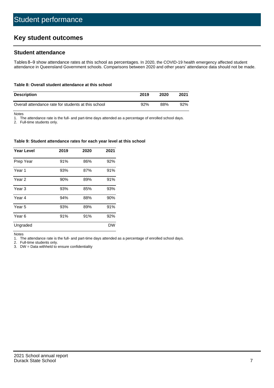# **Key student outcomes**

## **Student attendance**

Tables 8–9 show attendance rates at this school as percentages. In 2020, the COVID-19 health emergency affected student attendance in Queensland Government schools. Comparisons between 2020 and other years' attendance data should not be made.

#### **Table 8: Overall student attendance at this school**

| <b>Description</b>                                  | 2019 | 2020 | 2021 |
|-----------------------------------------------------|------|------|------|
| Overall attendance rate for students at this school | 92%  | 88%  | 92%  |

Notes

1. The attendance rate is the full- and part-time days attended as a percentage of enrolled school days.

2. Full-time students only.

#### **Table 9: Student attendance rates for each year level at this school**

| <b>Year Level</b> | 2019 | 2020 | 2021      |
|-------------------|------|------|-----------|
| Prep Year         | 91%  | 86%  | 92%       |
| Year 1            | 93%  | 87%  | 91%       |
| Year 2            | 90%  | 89%  | 91%       |
| Year <sub>3</sub> | 93%  | 85%  | 93%       |
| Year 4            | 94%  | 88%  | 90%       |
| Year 5            | 93%  | 89%  | 91%       |
| Year <sub>6</sub> | 91%  | 91%  | 92%       |
| Ungraded          |      |      | <b>DW</b> |

Notes

1. The attendance rate is the full- and part-time days attended as a percentage of enrolled school days.

2. Full-time students only.

3. DW = Data withheld to ensure confidentiality